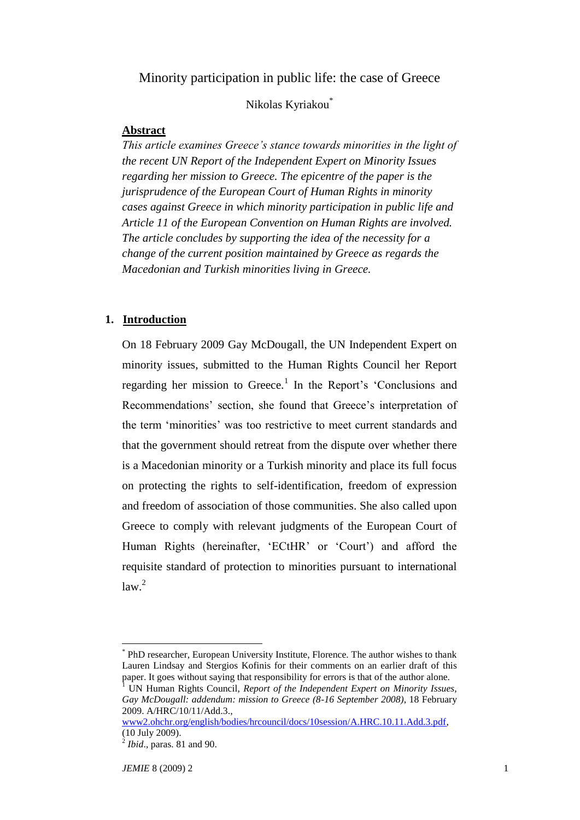# Minority participation in public life: the case of Greece

# Nikolas Kyriakou\*

## **Abstract**

*This article examines Greece's stance towards minorities in the light of the recent UN Report of the Independent Expert on Minority Issues regarding her mission to Greece. The epicentre of the paper is the jurisprudence of the European Court of Human Rights in minority cases against Greece in which minority participation in public life and Article 11 of the European Convention on Human Rights are involved. The article concludes by supporting the idea of the necessity for a change of the current position maintained by Greece as regards the Macedonian and Turkish minorities living in Greece.*

## **1. Introduction**

On 18 February 2009 Gay McDougall, the UN Independent Expert on minority issues, submitted to the Human Rights Council her Report regarding her mission to Greece.<sup>1</sup> In the Report's 'Conclusions and Recommendations" section, she found that Greece"s interpretation of the term "minorities" was too restrictive to meet current standards and that the government should retreat from the dispute over whether there is a Macedonian minority or a Turkish minority and place its full focus on protecting the rights to self-identification, freedom of expression and freedom of association of those communities. She also called upon Greece to comply with relevant judgments of the European Court of Human Rights (hereinafter, 'ECtHR' or 'Court') and afford the requisite standard of protection to minorities pursuant to international  $law.<sup>2</sup>$ 

l

<sup>\*</sup> PhD researcher, European University Institute, Florence. The author wishes to thank Lauren Lindsay and Stergios Kofinis for their comments on an earlier draft of this paper. It goes without saying that responsibility for errors is that of the author alone.

<sup>1</sup> UN Human Rights Council, *Report of the Independent Expert on Minority Issues, Gay McDougall: addendum: mission to Greece (8-16 September 2008)*, 18 February 2009. A/HRC/10/11/Add.3.,

[www2.ohchr.org/english/bodies/hrcouncil/docs/10session/A.HRC.10.11.Add.3.pdf,](http://www2.ohchr.org/english/bodies/hrcouncil/docs/10session/A.HRC.10.11.Add.3.pdf) (10 July 2009).

<sup>&</sup>lt;sup>2</sup> *Ibid.*, paras. 81 and 90.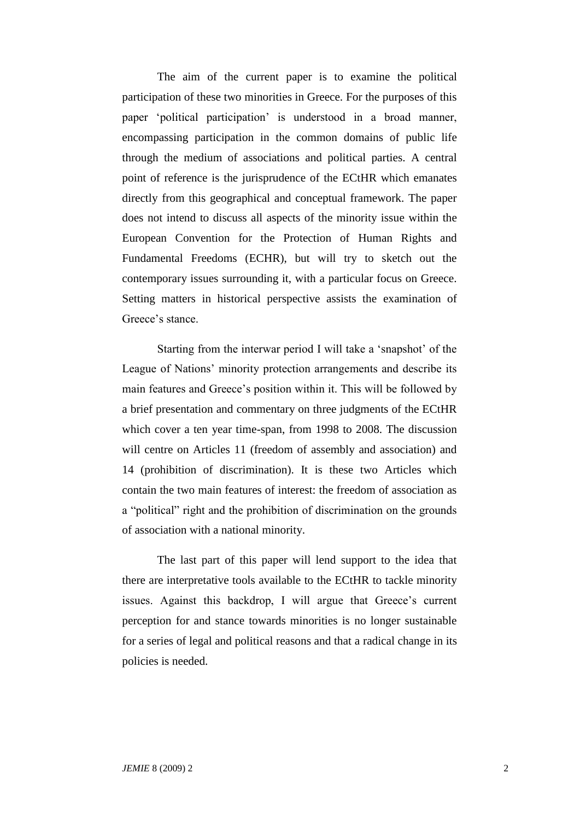The aim of the current paper is to examine the political participation of these two minorities in Greece. For the purposes of this paper "political participation" is understood in a broad manner, encompassing participation in the common domains of public life through the medium of associations and political parties. A central point of reference is the jurisprudence of the ECtHR which emanates directly from this geographical and conceptual framework. The paper does not intend to discuss all aspects of the minority issue within the European Convention for the Protection of Human Rights and Fundamental Freedoms (ECHR), but will try to sketch out the contemporary issues surrounding it, with a particular focus on Greece. Setting matters in historical perspective assists the examination of Greece's stance.

Starting from the interwar period I will take a "snapshot" of the League of Nations' minority protection arrangements and describe its main features and Greece"s position within it. This will be followed by a brief presentation and commentary on three judgments of the ECtHR which cover a ten year time-span, from 1998 to 2008. The discussion will centre on Articles 11 (freedom of assembly and association) and 14 (prohibition of discrimination). It is these two Articles which contain the two main features of interest: the freedom of association as a "political" right and the prohibition of discrimination on the grounds of association with a national minority.

The last part of this paper will lend support to the idea that there are interpretative tools available to the ECtHR to tackle minority issues. Against this backdrop, I will argue that Greece's current perception for and stance towards minorities is no longer sustainable for a series of legal and political reasons and that a radical change in its policies is needed.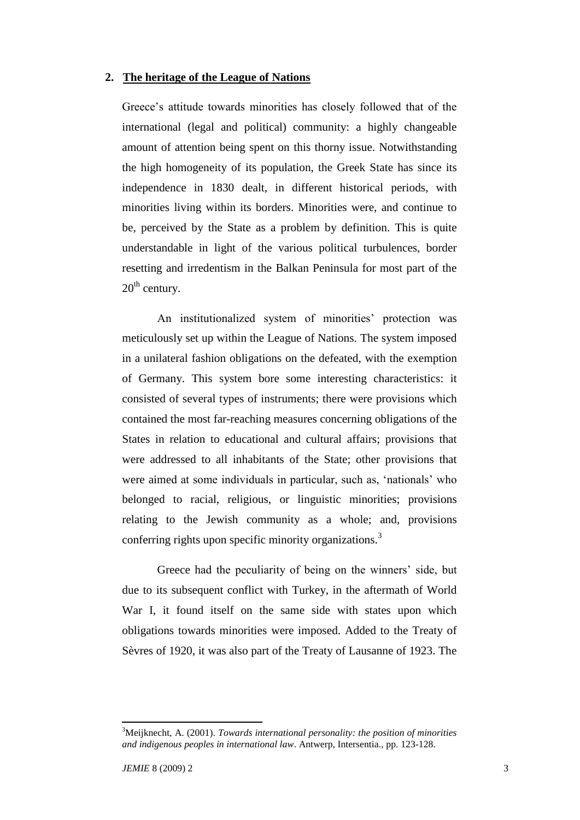### **2. The heritage of the League of Nations**

Greece"s attitude towards minorities has closely followed that of the international (legal and political) community: a highly changeable amount of attention being spent on this thorny issue. Notwithstanding the high homogeneity of its population, the Greek State has since its independence in 1830 dealt, in different historical periods, with minorities living within its borders. Minorities were, and continue to be, perceived by the State as a problem by definition. This is quite understandable in light of the various political turbulences, border resetting and irredentism in the Balkan Peninsula for most part of the  $20<sup>th</sup>$  century.

An institutionalized system of minorities' protection was meticulously set up within the League of Nations. The system imposed in a unilateral fashion obligations on the defeated, with the exemption of Germany. This system bore some interesting characteristics: it consisted of several types of instruments; there were provisions which contained the most far-reaching measures concerning obligations of the States in relation to educational and cultural affairs; provisions that were addressed to all inhabitants of the State; other provisions that were aimed at some individuals in particular, such as, "nationals" who belonged to racial, religious, or linguistic minorities; provisions relating to the Jewish community as a whole; and, provisions conferring rights upon specific minority organizations.<sup>3</sup>

Greece had the peculiarity of being on the winners' side, but due to its subsequent conflict with Turkey, in the aftermath of World War I, it found itself on the same side with states upon which obligations towards minorities were imposed. Added to the Treaty of Sèvres of 1920, it was also part of the Treaty of Lausanne of 1923. The

<sup>3</sup>Meijknecht, A. (2001). *Towards international personality: the position of minorities and indigenous peoples in international law*. Antwerp, Intersentia., pp. 123-128.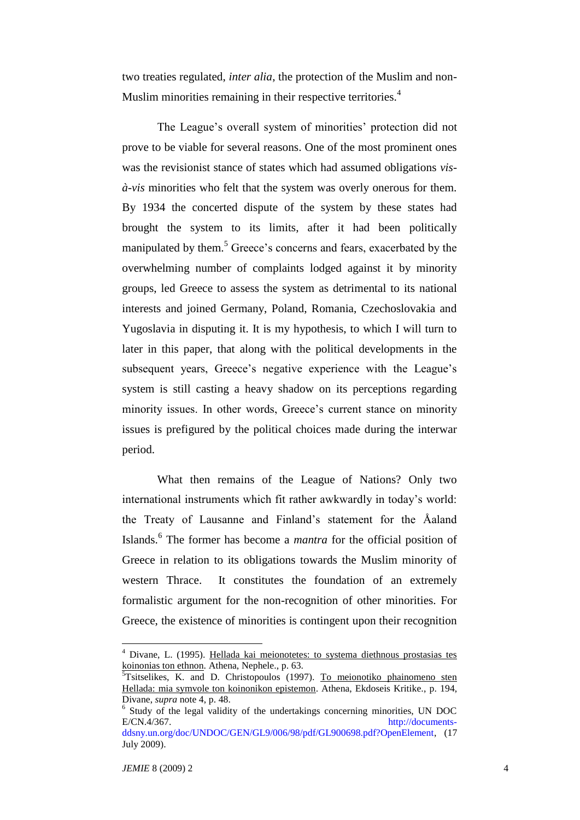two treaties regulated, *inter alia*, the protection of the Muslim and non-Muslim minorities remaining in their respective territories.<sup>4</sup>

The League's overall system of minorities' protection did not prove to be viable for several reasons. One of the most prominent ones was the revisionist stance of states which had assumed obligations *visà-vis* minorities who felt that the system was overly onerous for them. By 1934 the concerted dispute of the system by these states had brought the system to its limits, after it had been politically manipulated by them.<sup>5</sup> Greece's concerns and fears, exacerbated by the overwhelming number of complaints lodged against it by minority groups, led Greece to assess the system as detrimental to its national interests and joined Germany, Poland, Romania, Czechoslovakia and Yugoslavia in disputing it. It is my hypothesis, to which I will turn to later in this paper, that along with the political developments in the subsequent years, Greece's negative experience with the League's system is still casting a heavy shadow on its perceptions regarding minority issues. In other words, Greece's current stance on minority issues is prefigured by the political choices made during the interwar period.

What then remains of the League of Nations? Only two international instruments which fit rather awkwardly in today"s world: the Treaty of Lausanne and Finland"s statement for the Åaland Islands.<sup>6</sup> The former has become a *mantra* for the official position of Greece in relation to its obligations towards the Muslim minority of western Thrace. It constitutes the foundation of an extremely formalistic argument for the non-recognition of other minorities. For Greece, the existence of minorities is contingent upon their recognition

l

<sup>4</sup> Divane, L. (1995). Hellada kai meionotetes: to systema diethnous prostasias tes koinonias ton ethnon. Athena, Nephele., p. 63.

<sup>&</sup>lt;sup>5</sup>Tsitselikes, K. and D. Christopoulos (1997). To meionotiko phainomeno sten Hellada: mia symvole ton koinonikon epistemon. Athena, Ekdoseis Kritike., p. 194, Divane, *supra* note 4, p. 48.

<sup>&</sup>lt;sup>6</sup> Study of the legal validity of the undertakings concerning minorities, UN DOC E/CN.4/367. http://documentsddsny.un.org/doc/UNDOC/GEN/GL9/006/98/pdf/GL900698.pdf?OpenElement, (17 July 2009).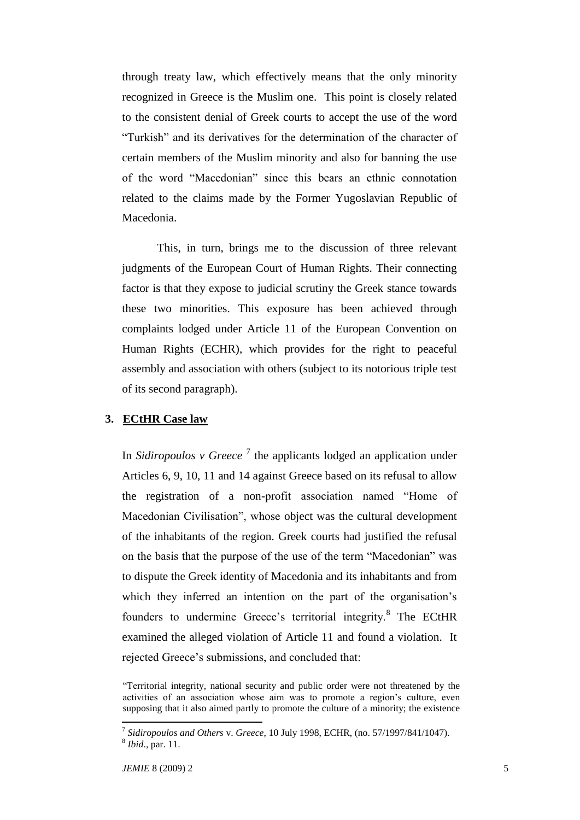through treaty law, which effectively means that the only minority recognized in Greece is the Muslim one. This point is closely related to the consistent denial of Greek courts to accept the use of the word "Turkish" and its derivatives for the determination of the character of certain members of the Muslim minority and also for banning the use of the word "Macedonian" since this bears an ethnic connotation related to the claims made by the Former Yugoslavian Republic of Macedonia.

This, in turn, brings me to the discussion of three relevant judgments of the European Court of Human Rights. Their connecting factor is that they expose to judicial scrutiny the Greek stance towards these two minorities. This exposure has been achieved through complaints lodged under Article 11 of the European Convention on Human Rights (ECHR), which provides for the right to peaceful assembly and association with others (subject to its notorious triple test of its second paragraph).

### **3. ECtHR Case law**

In *Sidiropoulos v Greece*<sup> $7$ </sup> the applicants lodged an application under Articles 6, 9, 10, 11 and 14 against Greece based on its refusal to allow the registration of a non-profit association named "Home of Macedonian Civilisation", whose object was the cultural development of the inhabitants of the region. Greek courts had justified the refusal on the basis that the purpose of the use of the term "Macedonian" was to dispute the Greek identity of Macedonia and its inhabitants and from which they inferred an intention on the part of the organisation's founders to undermine Greece's territorial integrity.<sup>8</sup> The ECtHR examined the alleged violation of Article 11 and found a violation. It rejected Greece"s submissions, and concluded that:

"Territorial integrity, national security and public order were not threatened by the activities of an association whose aim was to promote a region"s culture, even supposing that it also aimed partly to promote the culture of a minority; the existence

 7 *Sidiropoulos and Others* v. *Greece*, 10 July 1998, ECHR, (no. 57/1997/841/1047). 8 *Ibid*., par. 11.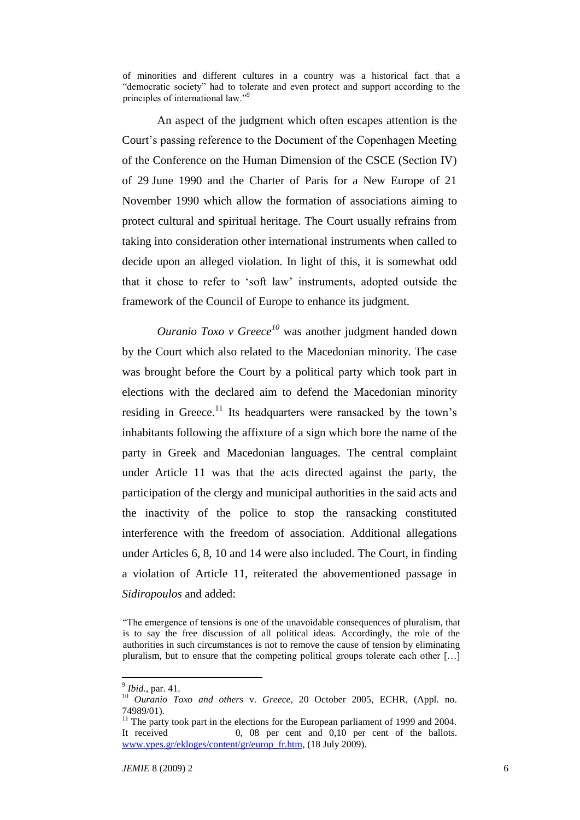of minorities and different cultures in a country was a historical fact that a "democratic society" had to tolerate and even protect and support according to the principles of international law."<sup>9</sup>

An aspect of the judgment which often escapes attention is the Court's passing reference to the Document of the Copenhagen Meeting of the Conference on the Human Dimension of the CSCE (Section IV) of 29 June 1990 and the Charter of Paris for a New Europe of 21 November 1990 which allow the formation of associations aiming to protect cultural and spiritual heritage. The Court usually refrains from taking into consideration other international instruments when called to decide upon an alleged violation. In light of this, it is somewhat odd that it chose to refer to "soft law" instruments, adopted outside the framework of the Council of Europe to enhance its judgment.

*Ouranio Toxo v Greece<sup>10</sup>* was another judgment handed down by the Court which also related to the Macedonian minority. The case was brought before the Court by a political party which took part in elections with the declared aim to defend the Macedonian minority residing in Greece.<sup>11</sup> Its headquarters were ransacked by the town's inhabitants following the affixture of a sign which bore the name of the party in Greek and Macedonian languages. The central complaint under Article 11 was that the acts directed against the party, the participation of the clergy and municipal authorities in the said acts and the inactivity of the police to stop the ransacking constituted interference with the freedom of association. Additional allegations under Articles 6, 8, 10 and 14 were also included. The Court, in finding a violation of Article 11, reiterated the abovementioned passage in *Sidiropoulos* and added:

<sup>&</sup>quot;The emergence of tensions is one of the unavoidable consequences of pluralism, that is to say the free discussion of all political ideas. Accordingly, the role of the authorities in such circumstances is not to remove the cause of tension by eliminating pluralism, but to ensure that the competing political groups tolerate each other […]

 9 *Ibid*., par. 41.

<sup>10</sup> *Ouranio Toxo and others* v. *Greece,* 20 October 2005, ECHR, (Appl. no. 74989/01).

<sup>&</sup>lt;sup>11</sup> The party took part in the elections for the European parliament of 1999 and 2004. It received 0, 08 per cent and 0,10 per cent of the ballots. [www.ypes.gr/ekloges/content/gr/europ\\_fr.htm,](http://www.ypes.gr/ekloges/content/gr/europ_fr.htm) (18 July 2009).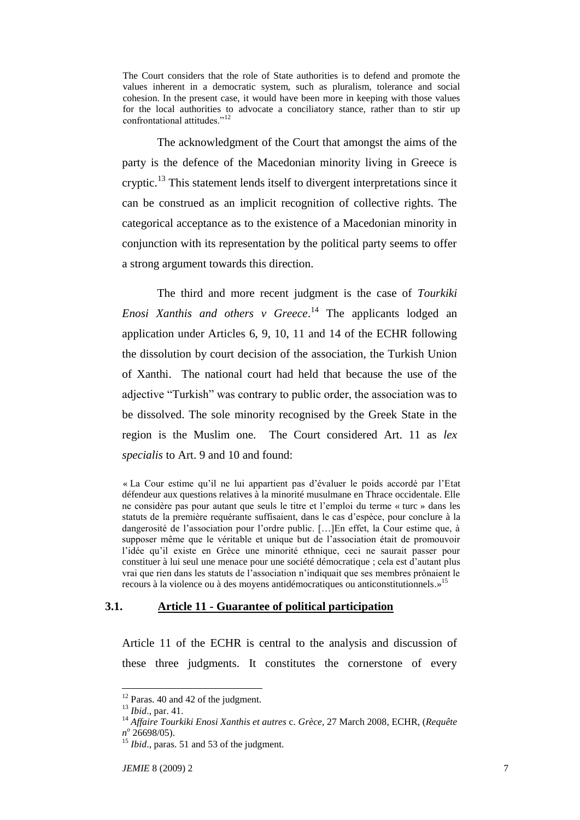The Court considers that the role of State authorities is to defend and promote the values inherent in a democratic system, such as pluralism, tolerance and social cohesion. In the present case, it would have been more in keeping with those values for the local authorities to advocate a conciliatory stance, rather than to stir up confrontational attitudes."<sup>12</sup>

The acknowledgment of the Court that amongst the aims of the party is the defence of the Macedonian minority living in Greece is cryptic.<sup>13</sup> This statement lends itself to divergent interpretations since it can be construed as an implicit recognition of collective rights. The categorical acceptance as to the existence of a Macedonian minority in conjunction with its representation by the political party seems to offer a strong argument towards this direction.

The third and more recent judgment is the case of *Tourkiki Enosi Xanthis and others v Greece*. <sup>14</sup> The applicants lodged an application under Articles 6, 9, 10, 11 and 14 of the ECHR following the dissolution by court decision of the association, the Turkish Union of Xanthi. The national court had held that because the use of the adjective "Turkish" was contrary to public order, the association was to be dissolved. The sole minority recognised by the Greek State in the region is the Muslim one. The Court considered Art. 11 as *lex specialis* to Art. 9 and 10 and found:

« La Cour estime qu"il ne lui appartient pas d"évaluer le poids accordé par l"Etat défendeur aux questions relatives à la minorité musulmane en Thrace occidentale. Elle ne considère pas pour autant que seuls le titre et l"emploi du terme « turc » dans les statuts de la première requérante suffisaient, dans le cas d"espèce, pour conclure à la dangerosité de l"association pour l"ordre public. […]En effet, la Cour estime que, à supposer même que le véritable et unique but de l"association était de promouvoir l'idée qu'il existe en Grèce une minorité ethnique, ceci ne saurait passer pour constituer à lui seul une menace pour une société démocratique ; cela est d"autant plus vrai que rien dans les statuts de l"association n"indiquait que ses membres prônaient le recours à la violence ou à des moyens antidémocratiques ou anticonstitutionnels.» 15

### **3.1. Article 11 - Guarantee of political participation**

Article 11 of the ECHR is central to the analysis and discussion of these three judgments. It constitutes the cornerstone of every

 $12$  Paras. 40 and 42 of the judgment.

<sup>13</sup> *Ibid*., par. 41.

<sup>14</sup> *Affaire Tourkiki Enosi Xanthis et autres* c. *Grèce,* 27 March 2008, ECHR, (*Requête n o* 26698/05).

<sup>&</sup>lt;sup>15</sup> *Ibid.*, paras. 51 and 53 of the judgment.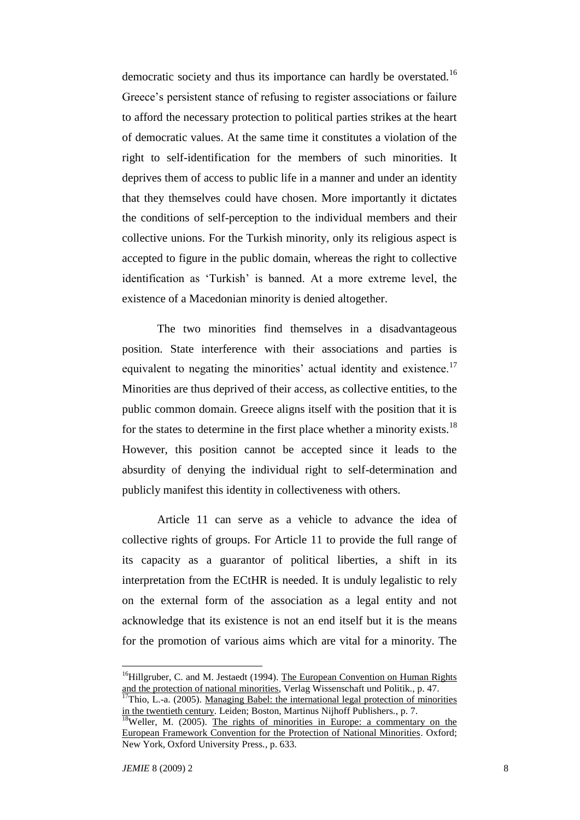democratic society and thus its importance can hardly be overstated.<sup>16</sup> Greece's persistent stance of refusing to register associations or failure to afford the necessary protection to political parties strikes at the heart of democratic values. At the same time it constitutes a violation of the right to self-identification for the members of such minorities. It deprives them of access to public life in a manner and under an identity that they themselves could have chosen. More importantly it dictates the conditions of self-perception to the individual members and their collective unions. For the Turkish minority, only its religious aspect is accepted to figure in the public domain, whereas the right to collective identification as 'Turkish' is banned. At a more extreme level, the existence of a Macedonian minority is denied altogether.

The two minorities find themselves in a disadvantageous position. State interference with their associations and parties is equivalent to negating the minorities' actual identity and existence.<sup>17</sup> Minorities are thus deprived of their access, as collective entities, to the public common domain. Greece aligns itself with the position that it is for the states to determine in the first place whether a minority exists.<sup>18</sup> However, this position cannot be accepted since it leads to the absurdity of denying the individual right to self-determination and publicly manifest this identity in collectiveness with others.

Article 11 can serve as a vehicle to advance the idea of collective rights of groups. For Article 11 to provide the full range of its capacity as a guarantor of political liberties, a shift in its interpretation from the ECtHR is needed. It is unduly legalistic to rely on the external form of the association as a legal entity and not acknowledge that its existence is not an end itself but it is the means for the promotion of various aims which are vital for a minority. The

 $16$ Hillgruber, C. and M. Jestaedt (1994). The European Convention on Human Rights and the protection of national minorities, Verlag Wissenschaft und Politik., p. 47.

 $17$ Thio, L.-a. (2005). Managing Babel: the international legal protection of minorities in the twentieth century. Leiden; Boston, Martinus Nijhoff Publishers., p. 7.

<sup>&</sup>lt;sup>3</sup>Weller, M. (2005). The rights of minorities in Europe: a commentary on the European Framework Convention for the Protection of National Minorities. Oxford; New York, Oxford University Press., p. 633.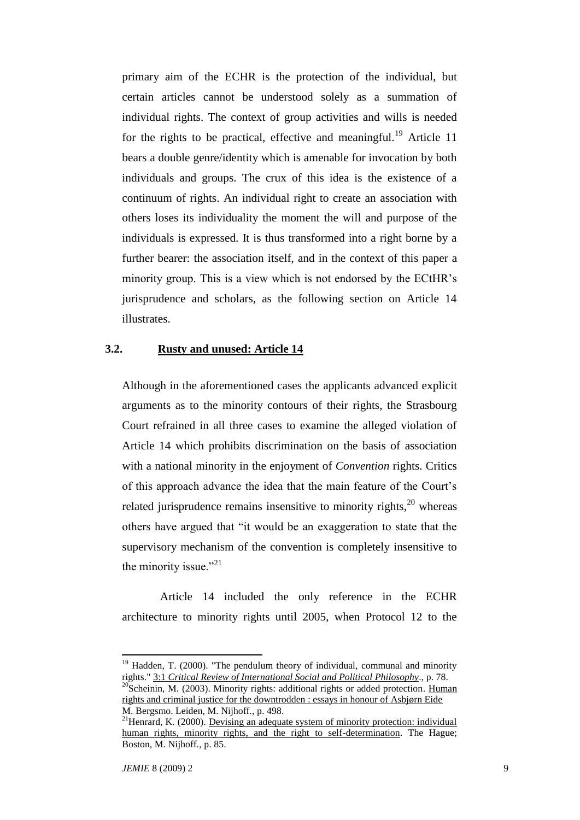primary aim of the ECHR is the protection of the individual, but certain articles cannot be understood solely as a summation of individual rights. The context of group activities and wills is needed for the rights to be practical, effective and meaningful.<sup>19</sup> Article 11 bears a double genre/identity which is amenable for invocation by both individuals and groups. The crux of this idea is the existence of a continuum of rights. An individual right to create an association with others loses its individuality the moment the will and purpose of the individuals is expressed. It is thus transformed into a right borne by a further bearer: the association itself, and in the context of this paper a minority group. This is a view which is not endorsed by the ECtHR"s jurisprudence and scholars, as the following section on Article 14 illustrates.

# **3.2. Rusty and unused: Article 14**

Although in the aforementioned cases the applicants advanced explicit arguments as to the minority contours of their rights, the Strasbourg Court refrained in all three cases to examine the alleged violation of Article 14 which prohibits discrimination on the basis of association with a national minority in the enjoyment of *Convention* rights. Critics of this approach advance the idea that the main feature of the Court"s related jurisprudence remains insensitive to minority rights, $20$  whereas others have argued that "it would be an exaggeration to state that the supervisory mechanism of the convention is completely insensitive to the minority issue."<sup>21</sup>

Article 14 included the only reference in the ECHR architecture to minority rights until 2005, when Protocol 12 to the

 $19$  Hadden, T. (2000). "The pendulum theory of individual, communal and minority rights." 3:1 *Critical Review of International Social and Political Philosophy*., p. 78. <sup>20</sup>Scheinin, M. (2003). Minority rights: additional rights or added protection. Human

rights and criminal justice for the downtrodden : essays in honour of Asbjørn Eide M. Bergsmo. Leiden, M. Nijhoff., p. 498.

<sup>&</sup>lt;sup>21</sup>Henrard, K. (2000). Devising an adequate system of minority protection: individual human rights, minority rights, and the right to self-determination. The Hague; Boston, M. Nijhoff., p. 85.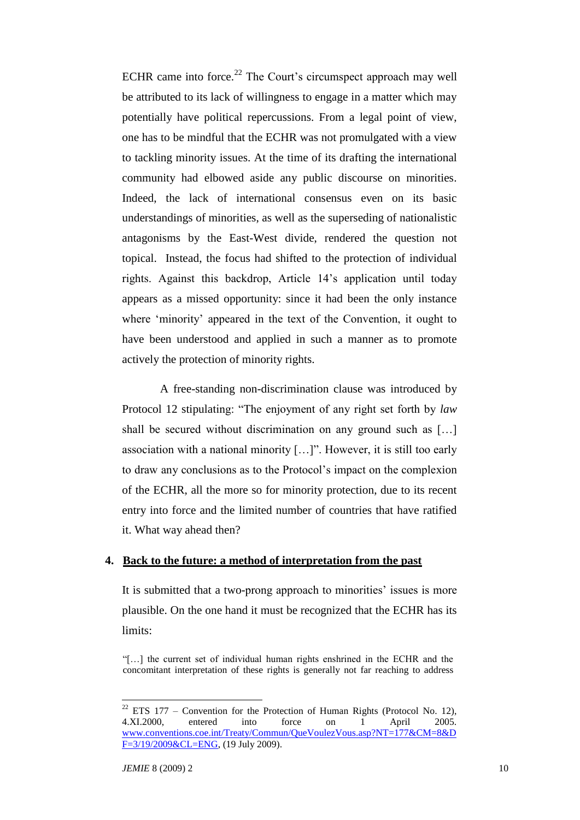ECHR came into force.<sup>22</sup> The Court's circumspect approach may well be attributed to its lack of willingness to engage in a matter which may potentially have political repercussions. From a legal point of view, one has to be mindful that the ECHR was not promulgated with a view to tackling minority issues. At the time of its drafting the international community had elbowed aside any public discourse on minorities. Indeed, the lack of international consensus even on its basic understandings of minorities, as well as the superseding of nationalistic antagonisms by the East-West divide, rendered the question not topical. Instead, the focus had shifted to the protection of individual rights. Against this backdrop, Article 14"s application until today appears as a missed opportunity: since it had been the only instance where 'minority' appeared in the text of the Convention, it ought to have been understood and applied in such a manner as to promote actively the protection of minority rights.

A free-standing non-discrimination clause was introduced by Protocol 12 stipulating: "The enjoyment of any right set forth by *law*  shall be secured without discrimination on any ground such as […] association with a national minority […]". However, it is still too early to draw any conclusions as to the Protocol"s impact on the complexion of the ECHR, all the more so for minority protection, due to its recent entry into force and the limited number of countries that have ratified it. What way ahead then?

### **4. Back to the future: a method of interpretation from the past**

It is submitted that a two-prong approach to minorities' issues is more plausible. On the one hand it must be recognized that the ECHR has its limits:

"[…] the current set of individual human rights enshrined in the ECHR and the concomitant interpretation of these rights is generally not far reaching to address

<sup>&</sup>lt;sup>22</sup> ETS 177 – Convention for the Protection of Human Rights (Protocol No. 12), 4.XI.2000, entered into force on 1 April 2005. [www.conventions.coe.int/Treaty/Commun/QueVoulezVous.asp?NT=177&CM=8&D](http://www.conventions.coe.int/Treaty/Commun/QueVoulezVous.asp?NT=177&CM=8&DF=3/19/2009&CL=ENG) [F=3/19/2009&CL=ENG,](http://www.conventions.coe.int/Treaty/Commun/QueVoulezVous.asp?NT=177&CM=8&DF=3/19/2009&CL=ENG) (19 July 2009).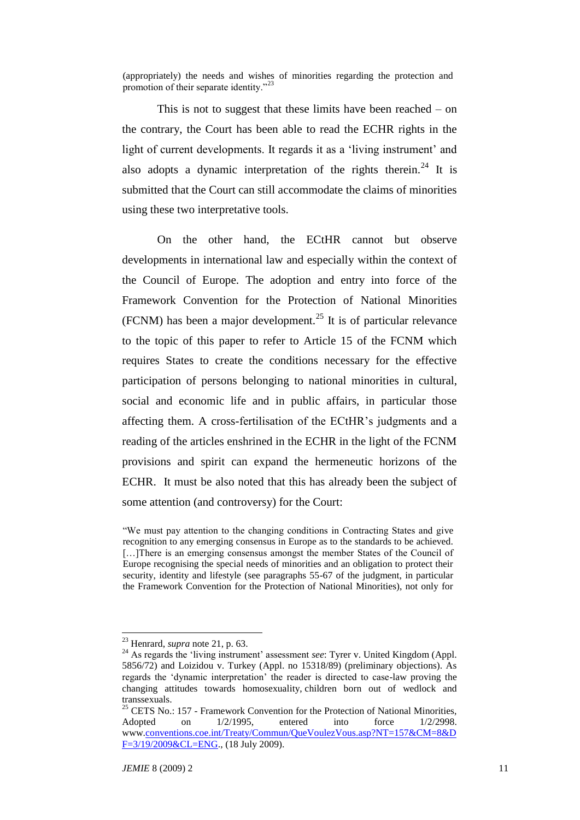(appropriately) the needs and wishes of minorities regarding the protection and promotion of their separate identity."<sup>23</sup>

This is not to suggest that these limits have been reached  $-$  on the contrary, the Court has been able to read the ECHR rights in the light of current developments. It regards it as a 'living instrument' and also adopts a dynamic interpretation of the rights therein.<sup>24</sup> It is submitted that the Court can still accommodate the claims of minorities using these two interpretative tools.

On the other hand, the ECtHR cannot but observe developments in international law and especially within the context of the Council of Europe. The adoption and entry into force of the Framework Convention for the Protection of National Minorities (FCNM) has been a major development.<sup>25</sup> It is of particular relevance to the topic of this paper to refer to Article 15 of the FCNM which requires States to create the conditions necessary for the effective participation of persons belonging to national minorities in cultural, social and economic life and in public affairs, in particular those affecting them. A cross-fertilisation of the ECtHR"s judgments and a reading of the articles enshrined in the ECHR in the light of the FCNM provisions and spirit can expand the hermeneutic horizons of the ECHR. It must be also noted that this has already been the subject of some attention (and controversy) for the Court:

"We must pay attention to the changing conditions in Contracting States and give recognition to any emerging consensus in Europe as to the standards to be achieved. [...]There is an emerging consensus amongst the member States of the Council of Europe recognising the special needs of minorities and an obligation to protect their security, identity and lifestyle (see paragraphs 55-67 of the judgment, in particular the Framework Convention for the Protection of National Minorities), not only for

<sup>23</sup> Henrard, *supra* note 21, p. 63.

<sup>&</sup>lt;sup>24</sup> As regards the 'living instrument' assessment *see*: Tyrer v. United Kingdom (Appl. 5856/72) and Loizidou v. Turkey (Appl. no 15318/89) (preliminary objections). As regards the "dynamic interpretation" the reader is directed to case-law proving the changing attitudes towards homosexuality, children born out of wedlock and transsexuals.

 $25$  CETS No.: 157 - Framework Convention for the Protection of National Minorities, Adopted on 1/2/1995, entered into force 1/2/2998. www[.conventions.coe.int/Treaty/Commun/QueVoulezVous.asp?NT=157&CM=8&D](http://conventions.coe.int/Treaty/Commun/QueVoulezVous.asp?NT=157&CM=8&DF=3/19/2009&CL=ENG) [F=3/19/2009&CL=ENG.](http://conventions.coe.int/Treaty/Commun/QueVoulezVous.asp?NT=157&CM=8&DF=3/19/2009&CL=ENG), (18 July 2009).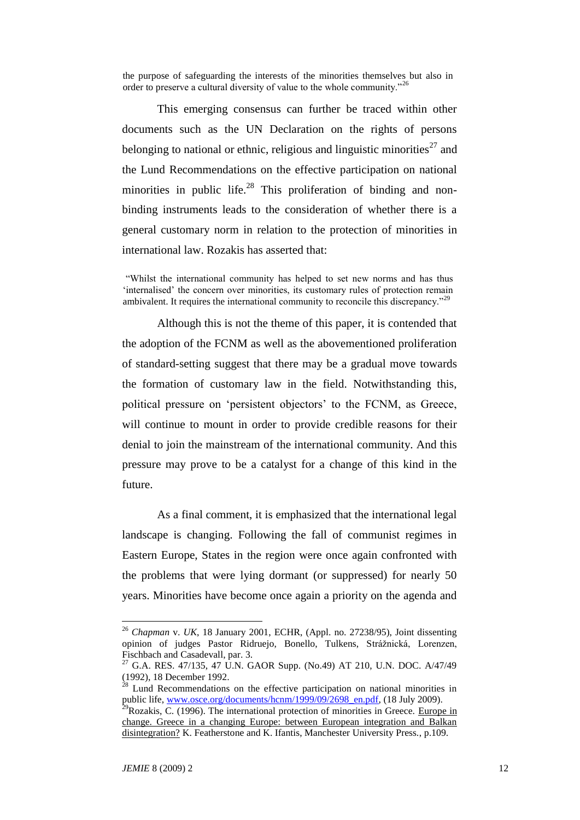the purpose of safeguarding the interests of the minorities themselves but also in order to preserve a cultural diversity of value to the whole community."<sup>26</sup>

This emerging consensus can further be traced within other documents such as the UN Declaration on the rights of persons belonging to national or ethnic, religious and linguistic minorities<sup>27</sup> and the Lund Recommendations on the effective participation on national minorities in public life.<sup>28</sup> This proliferation of binding and nonbinding instruments leads to the consideration of whether there is a general customary norm in relation to the protection of minorities in international law. Rozakis has asserted that:

"Whilst the international community has helped to set new norms and has thus "internalised" the concern over minorities, its customary rules of protection remain ambivalent. It requires the international community to reconcile this discrepancy."<sup>29</sup>

Although this is not the theme of this paper, it is contended that the adoption of the FCNM as well as the abovementioned proliferation of standard-setting suggest that there may be a gradual move towards the formation of customary law in the field. Notwithstanding this, political pressure on "persistent objectors" to the FCNM, as Greece, will continue to mount in order to provide credible reasons for their denial to join the mainstream of the international community. And this pressure may prove to be a catalyst for a change of this kind in the future.

As a final comment, it is emphasized that the international legal landscape is changing. Following the fall of communist regimes in Eastern Europe, States in the region were once again confronted with the problems that were lying dormant (or suppressed) for nearly 50 years. Minorities have become once again a priority on the agenda and

<sup>26</sup> *Chapman* v. *UK*, 18 January 2001, ECHR, (Appl. no. 27238/95), Joint dissenting opinion of judges Pastor Ridruejo, Bonello, Tulkens, Strážnická, Lorenzen, Fischbach and Casadevall, par. 3.

<sup>&</sup>lt;sup>27</sup> G.A. RES. 47/135, 47 U.N. GAOR Supp. (No.49) AT 210, U.N. DOC. A/47/49 (1992), 18 December 1992.

 $28$  Lund Recommendations on the effective participation on national minorities in public life, [www.osce.org/documents/hcnm/1999/09/2698\\_en.pdf,](http://www.osce.org/documents/hcnm/1999/09/2698_en.pdf) (18 July 2009).

 $29$ Rozakis, C. (1996). The international protection of minorities in Greece. Europe in change. Greece in a changing Europe: between European integration and Balkan disintegration? K. Featherstone and K. Ifantis, Manchester University Press., p.109.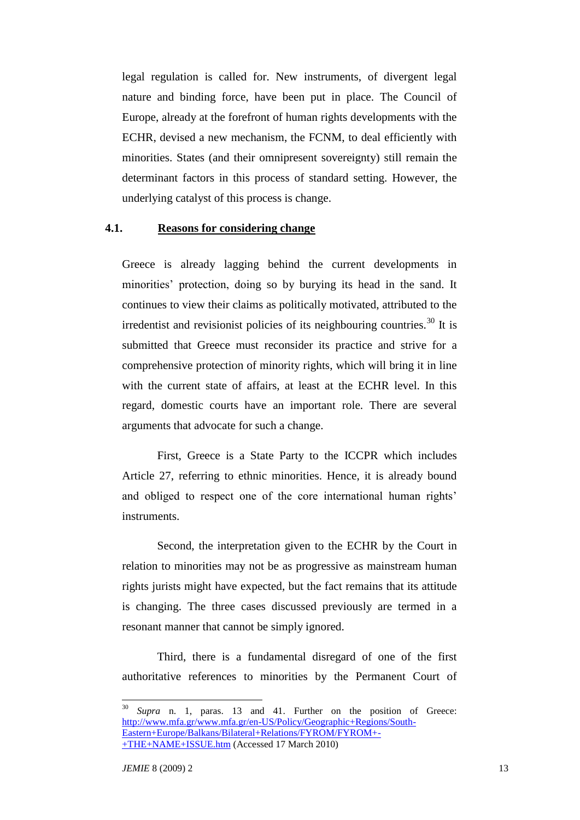legal regulation is called for. New instruments, of divergent legal nature and binding force, have been put in place. The Council of Europe, already at the forefront of human rights developments with the ECHR, devised a new mechanism, the FCNM, to deal efficiently with minorities. States (and their omnipresent sovereignty) still remain the determinant factors in this process of standard setting. However, the underlying catalyst of this process is change.

### **4.1. Reasons for considering change**

Greece is already lagging behind the current developments in minorities' protection, doing so by burying its head in the sand. It continues to view their claims as politically motivated, attributed to the irredentist and revisionist policies of its neighbouring countries.<sup>30</sup> It is submitted that Greece must reconsider its practice and strive for a comprehensive protection of minority rights, which will bring it in line with the current state of affairs, at least at the ECHR level. In this regard, domestic courts have an important role. There are several arguments that advocate for such a change.

First, Greece is a State Party to the ICCPR which includes Article 27, referring to ethnic minorities. Hence, it is already bound and obliged to respect one of the core international human rights' instruments.

Second, the interpretation given to the ECHR by the Court in relation to minorities may not be as progressive as mainstream human rights jurists might have expected, but the fact remains that its attitude is changing. The three cases discussed previously are termed in a resonant manner that cannot be simply ignored.

Third, there is a fundamental disregard of one of the first authoritative references to minorities by the Permanent Court of

 $30<sub>1</sub>$ Supra n. 1, paras. 13 and 41. Further on the position of Greece: [http://www.mfa.gr/www.mfa.gr/en-US/Policy/Geographic+Regions/South-](http://www.mfa.gr/www.mfa.gr/en-US/Policy/Geographic+Regions/South-Eastern+Europe/Balkans/Bilateral+Relations/FYROM/FYROM+-+THE+NAME+ISSUE.htm)[Eastern+Europe/Balkans/Bilateral+Relations/FYROM/FYROM+-](http://www.mfa.gr/www.mfa.gr/en-US/Policy/Geographic+Regions/South-Eastern+Europe/Balkans/Bilateral+Relations/FYROM/FYROM+-+THE+NAME+ISSUE.htm) [+THE+NAME+ISSUE.htm](http://www.mfa.gr/www.mfa.gr/en-US/Policy/Geographic+Regions/South-Eastern+Europe/Balkans/Bilateral+Relations/FYROM/FYROM+-+THE+NAME+ISSUE.htm) (Accessed 17 March 2010)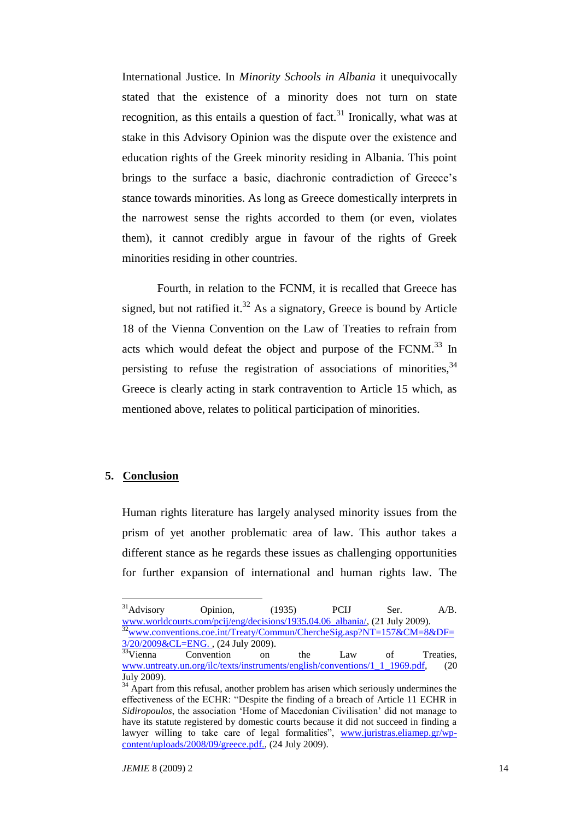International Justice. In *Minority Schools in Albania* it unequivocally stated that the existence of a minority does not turn on state recognition, as this entails a question of fact.<sup>31</sup> Ironically, what was at stake in this Advisory Opinion was the dispute over the existence and education rights of the Greek minority residing in Albania. This point brings to the surface a basic, diachronic contradiction of Greece's stance towards minorities. As long as Greece domestically interprets in the narrowest sense the rights accorded to them (or even, violates them), it cannot credibly argue in favour of the rights of Greek minorities residing in other countries.

Fourth, in relation to the FCNM, it is recalled that Greece has signed, but not ratified it.<sup>32</sup> As a signatory. Greece is bound by Article 18 of the Vienna Convention on the Law of Treaties to refrain from acts which would defeat the object and purpose of the FCNM.<sup>33</sup> In persisting to refuse the registration of associations of minorities,  $34$ Greece is clearly acting in stark contravention to Article 15 which, as mentioned above, relates to political participation of minorities.

### **5. Conclusion**

l

Human rights literature has largely analysed minority issues from the prism of yet another problematic area of law. This author takes a different stance as he regards these issues as challenging opportunities for further expansion of international and human rights law. The

 $31$ Advisory Opinion, (1935) PCIJ Ser. A/B. [www.worldcourts.com/pcij/eng/decisions/1935.04.06\\_albania/,](http://www.worldcourts.com/pcij/eng/decisions/1935.04.06_albania/) (21 July 2009). <sup>32</sup>[www.conventions.coe.int/Treaty/Commun/ChercheSig.asp?NT=157&CM=8&DF=](http://www.conventions.coe.int/Treaty/Commun/ChercheSig.asp?NT=157&CM=8&DF=3/20/2009&CL=ENG.)

 $\frac{3/20/2009\&CL=ENG.}{33}$ , (24 July 2009).<br> $\frac{3}{33}$ Vienna Convention on Convention on the Law of Treaties, [www.untreaty.un.org/ilc/texts/instruments/english/conventions/1\\_1\\_1969.pdf,](http://www.untreaty.un.org/ilc/texts/instruments/english/conventions/1_1_1969.pdf) (20 July 2009).

<sup>&</sup>lt;sup>34</sup> Apart from this refusal, another problem has arisen which seriously undermines the effectiveness of the ECHR: "Despite the finding of a breach of Article 11 ECHR in *Sidiropoulos*, the association "Home of Macedonian Civilisation" did not manage to have its statute registered by domestic courts because it did not succeed in finding a lawyer willing to take care of legal formalities", [www.juristras.eliamep.gr/wp](http://www.juristras.eliamep.gr/wp-content/uploads/2008/09/greece.pdf.)[content/uploads/2008/09/greece.pdf.,](http://www.juristras.eliamep.gr/wp-content/uploads/2008/09/greece.pdf.) (24 July 2009).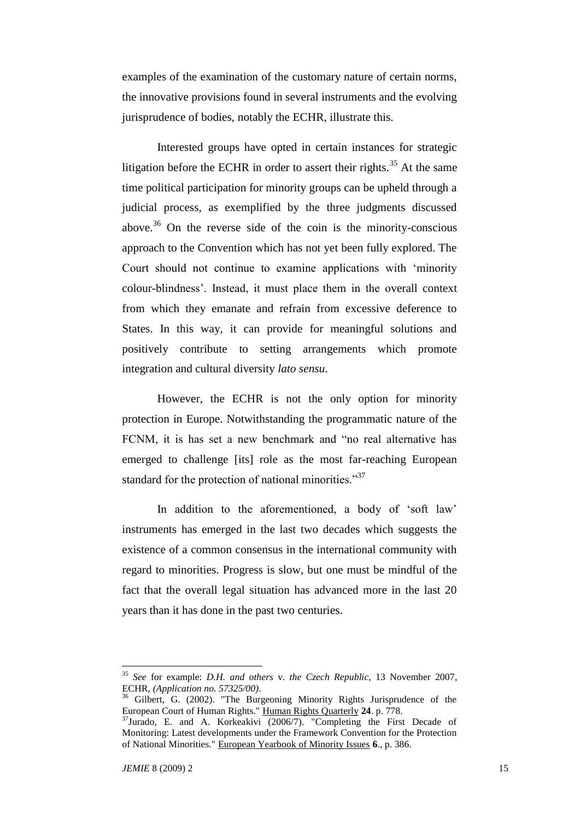examples of the examination of the customary nature of certain norms, the innovative provisions found in several instruments and the evolving jurisprudence of bodies, notably the ECHR, illustrate this.

Interested groups have opted in certain instances for strategic litigation before the ECHR in order to assert their rights.<sup>35</sup> At the same time political participation for minority groups can be upheld through a judicial process, as exemplified by the three judgments discussed above.<sup>36</sup> On the reverse side of the coin is the minority-conscious approach to the Convention which has not yet been fully explored. The Court should not continue to examine applications with "minority colour-blindness". Instead, it must place them in the overall context from which they emanate and refrain from excessive deference to States. In this way, it can provide for meaningful solutions and positively contribute to setting arrangements which promote integration and cultural diversity *lato sensu*.

However, the ECHR is not the only option for minority protection in Europe. Notwithstanding the programmatic nature of the FCNM, it is has set a new benchmark and "no real alternative has emerged to challenge [its] role as the most far-reaching European standard for the protection of national minorities."<sup>37</sup>

In addition to the aforementioned, a body of 'soft law' instruments has emerged in the last two decades which suggests the existence of a common consensus in the international community with regard to minorities. Progress is slow, but one must be mindful of the fact that the overall legal situation has advanced more in the last 20 years than it has done in the past two centuries.

<sup>35</sup> *See* for example: *D.H. and others* v. *the Czech Republic*, 13 November 2007, ECHR, *(Application no. 57325/00)*.

<sup>&</sup>lt;sup>36</sup> Gilbert, G. (2002). "The Burgeoning Minority Rights Jurisprudence of the European Court of Human Rights." Human Rights Quarterly **24**. p. 778.

<sup>&</sup>lt;sup>37</sup>Jurado, E. and A. Korkeakivi (2006/7). "Completing the First Decade of Monitoring: Latest developments under the Framework Convention for the Protection of National Minorities." European Yearbook of Minority Issues **6**., p. 386.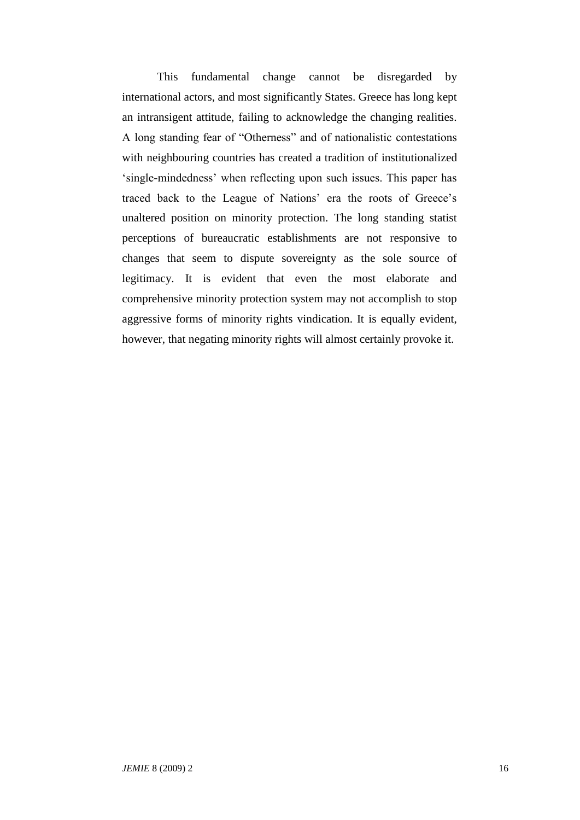This fundamental change cannot be disregarded by international actors, and most significantly States. Greece has long kept an intransigent attitude, failing to acknowledge the changing realities. A long standing fear of "Otherness" and of nationalistic contestations with neighbouring countries has created a tradition of institutionalized 'single-mindedness' when reflecting upon such issues. This paper has traced back to the League of Nations" era the roots of Greece"s unaltered position on minority protection. The long standing statist perceptions of bureaucratic establishments are not responsive to changes that seem to dispute sovereignty as the sole source of legitimacy. It is evident that even the most elaborate and comprehensive minority protection system may not accomplish to stop aggressive forms of minority rights vindication. It is equally evident, however, that negating minority rights will almost certainly provoke it.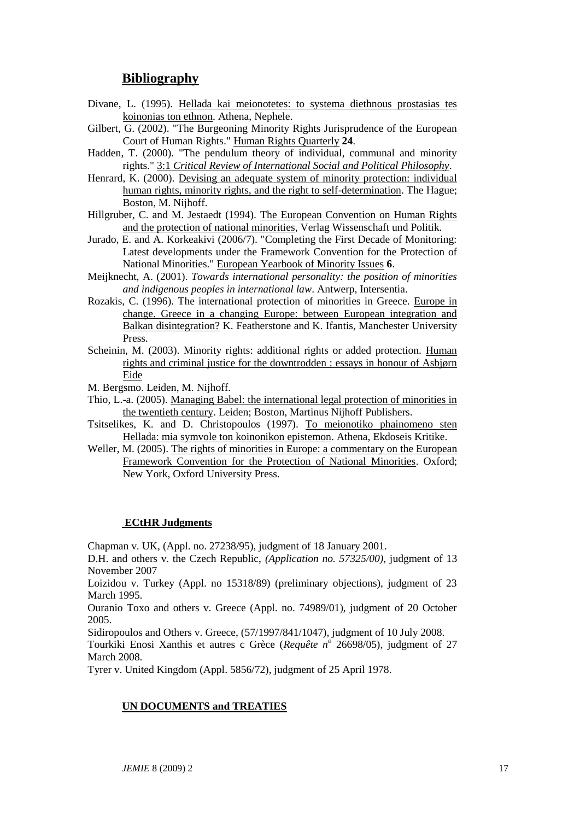# **Bibliography**

- Divane, L. (1995). Hellada kai meionotetes: to systema diethnous prostasias tes koinonias ton ethnon. Athena, Nephele.
- Gilbert, G. (2002). "The Burgeoning Minority Rights Jurisprudence of the European Court of Human Rights." Human Rights Quarterly **24**.
- Hadden, T. (2000). "The pendulum theory of individual, communal and minority rights." 3:1 *Critical Review of International Social and Political Philosophy*.
- Henrard, K. (2000). Devising an adequate system of minority protection: individual human rights, minority rights, and the right to self-determination. The Hague; Boston, M. Nijhoff.
- Hillgruber, C. and M. Jestaedt (1994). The European Convention on Human Rights and the protection of national minorities, Verlag Wissenschaft und Politik.
- Jurado, E. and A. Korkeakivi (2006/7). "Completing the First Decade of Monitoring: Latest developments under the Framework Convention for the Protection of National Minorities." European Yearbook of Minority Issues **6**.
- Meijknecht, A. (2001). *Towards international personality: the position of minorities and indigenous peoples in international law*. Antwerp, Intersentia.
- Rozakis, C. (1996). The international protection of minorities in Greece. Europe in change. Greece in a changing Europe: between European integration and Balkan disintegration? K. Featherstone and K. Ifantis, Manchester University Press.
- Scheinin, M. (2003). Minority rights: additional rights or added protection. Human rights and criminal justice for the downtrodden : essays in honour of Asbjørn Eide
- M. Bergsmo. Leiden, M. Nijhoff.
- Thio, L.-a. (2005). Managing Babel: the international legal protection of minorities in the twentieth century. Leiden; Boston, Martinus Nijhoff Publishers.
- Tsitselikes, K. and D. Christopoulos (1997). To meionotiko phainomeno sten Hellada: mia symvole ton koinonikon epistemon. Athena, Ekdoseis Kritike.
- Weller, M. (2005). The rights of minorities in Europe: a commentary on the European Framework Convention for the Protection of National Minorities. Oxford; New York, Oxford University Press.

#### **ECtHR Judgments**

Chapman v. UK, (Appl. no. 27238/95), judgment of 18 January 2001.

D.H. and others v. the Czech Republic, *(Application no. 57325/00),* judgment of 13 November 2007

Loizidou v. Turkey (Appl. no 15318/89) (preliminary objections), judgment of 23 March 1995.

Ouranio Toxo and others v. Greece (Appl. no. 74989/01), judgment of 20 October 2005.

Sidiropoulos and Others v. Greece, (57/1997/841/1047), judgment of 10 July 2008.

Tourkiki Enosi Xanthis et autres c Grèce (*Requête n<sup>o</sup>* 26698/05), judgment of 27 March 2008.

Tyrer v. United Kingdom (Appl. 5856/72), judgment of 25 April 1978.

#### **UN DOCUMENTS and TREATIES**

*JEMIE* 8 (2009) 2 17